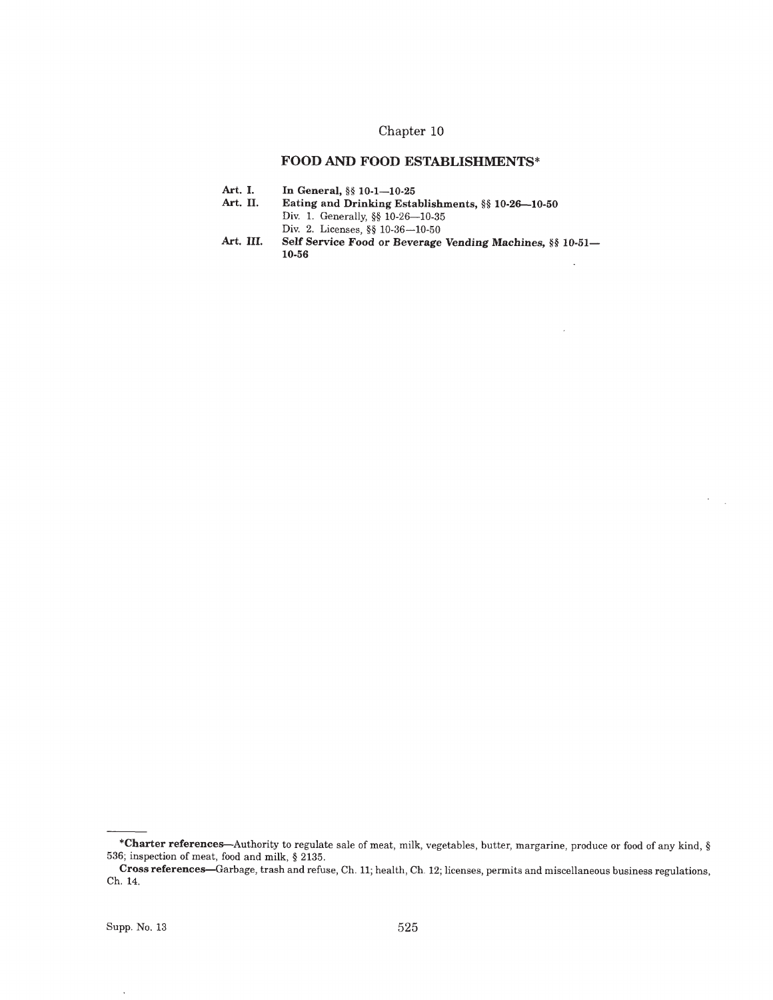# Chapter  $10\,$

# FOOD AND FOOD ESTABLISHMENTS\*

| Art. I.   | In General, §§ 10-1-10-25                                          |
|-----------|--------------------------------------------------------------------|
| Art. II.  | Eating and Drinking Establishments, §§ 10-26-10-50                 |
|           | Div. 1. Generally, §§ 10-26—10-35                                  |
|           | Div. 2. Licenses, §§ 10-36-10-50                                   |
| Art. III. | Self Service Food or Beverage Vending Machines, §§ 10-51-<br>10-56 |

 $\epsilon_{\rm{max}}$ 

 $\bar{a}$ 

<sup>\*</sup>Charter references-Authority to regulate sale of meat, milk, vegetables, butter, margarine, produce or food of any kind, § 536; inspection of meat, food and milk,  $\S$  2135.

Cross references-Garbage, trash and refuse, Ch. 11; health, Ch. 12; licenses, permits and miscellaneous business regulations, Ch. 14.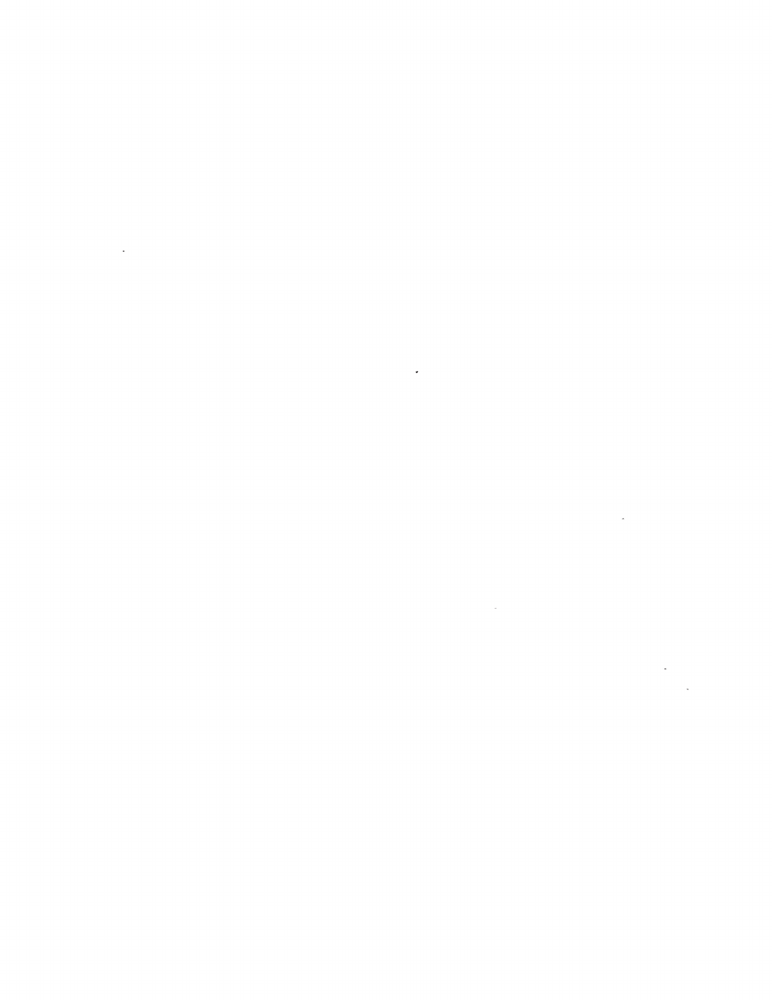$\mathcal{L}^{\mathcal{L}}(\mathcal{L}^{\mathcal{L}})$  . The set of  $\mathcal{L}^{\mathcal{L}}(\mathcal{L}^{\mathcal{L}})$  $\label{eq:2.1} \frac{1}{\sqrt{2}}\int_{\mathbb{R}^3} \frac{1}{\sqrt{2}}\left(\frac{1}{\sqrt{2}}\right)^2\left(\frac{1}{\sqrt{2}}\right)^2\left(\frac{1}{\sqrt{2}}\right)^2\left(\frac{1}{\sqrt{2}}\right)^2\left(\frac{1}{\sqrt{2}}\right)^2.$  $\label{eq:2.1} \frac{1}{2} \sum_{i=1}^n \frac{1}{2} \sum_{j=1}^n \frac{1}{2} \sum_{j=1}^n \frac{1}{2} \sum_{j=1}^n \frac{1}{2} \sum_{j=1}^n \frac{1}{2} \sum_{j=1}^n \frac{1}{2} \sum_{j=1}^n \frac{1}{2} \sum_{j=1}^n \frac{1}{2} \sum_{j=1}^n \frac{1}{2} \sum_{j=1}^n \frac{1}{2} \sum_{j=1}^n \frac{1}{2} \sum_{j=1}^n \frac{1}{2} \sum_{j=1}^n \frac{$  $\label{eq:2.1} \frac{1}{\sqrt{2}}\int_{\mathbb{R}^3}\frac{1}{\sqrt{2}}\left(\frac{1}{\sqrt{2}}\right)^2\frac{1}{\sqrt{2}}\left(\frac{1}{\sqrt{2}}\right)^2\frac{1}{\sqrt{2}}\left(\frac{1}{\sqrt{2}}\right)^2\frac{1}{\sqrt{2}}\left(\frac{1}{\sqrt{2}}\right)^2.$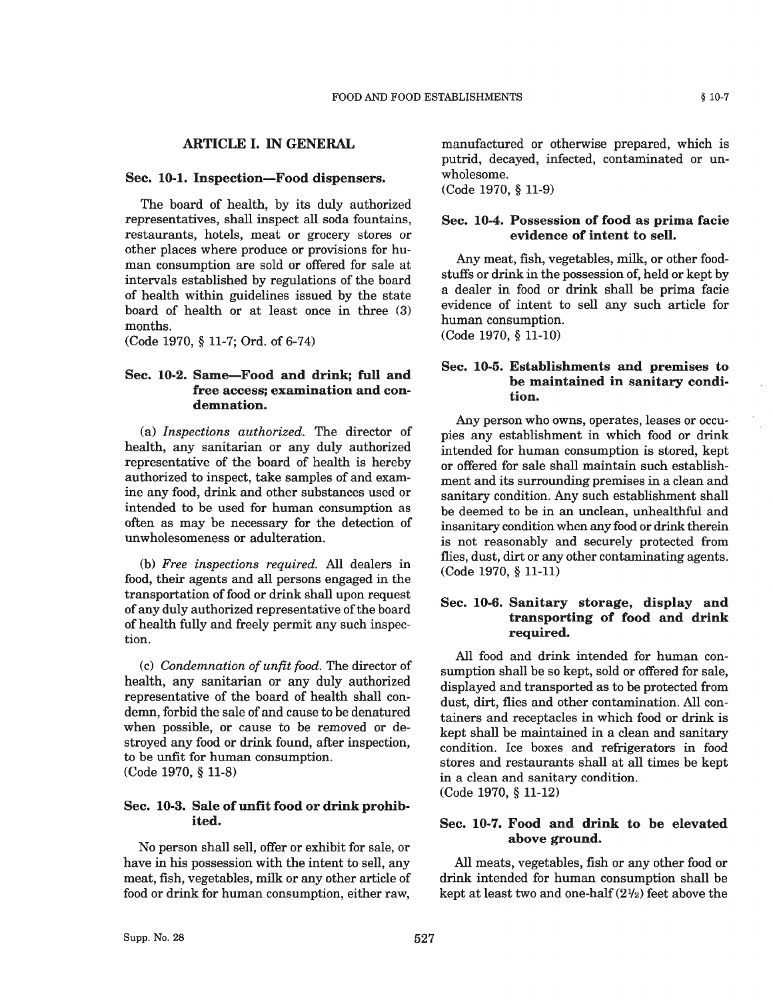## **ARTICLE I. IN GENERAL**

#### Sec. 10-1. Inspection-Food dispensers.

The board of health, by its duly authorized representatives, shall inspect all soda fountains, restaurants, hotels, meat or grocery stores or other places where produce or provisions for human consumption are sold or offered for sale at intervals established by regulations of the board of health within guidelines issued by the state board of health or at least once in three (3) months.

(Code 1970, § 11-7; Ord. of 6-74)

# Sec. 10-2. Same-Food and drink; full and free access; examination and condemnation.

(a) Inspections authorized. The director of health, any sanitarian or any duly authorized representative of the board of health is hereby authorized to inspect, take samples of and examine any food, drink and other substances used or intended to be used for human consumption as often as may be necessary for the detection of unwholesomeness or adulteration.

(b) Free inspections required. All dealers in food, their agents and all persons engaged in the transportation of food or drink shall upon request of any duly authorized representative of the board of health fully and freely permit any such inspection.

(c) Condemnation of unfit food. The director of health, any sanitarian or any duly authorized representative of the board of health shall condemn, forbid the sale of and cause to be denatured when possible, or cause to be removed or destroyed any food or drink found, after inspection, to be unfit for human consumption. (Code 1970, § 11-8)

### Sec. 10-3. Sale of unfit food or drink prohibited.

No person shall sell, offer or exhibit for sale, or have in his possession with the intent to sell, any meat, fish, vegetables, milk or any other article of food or drink for human consumption, either raw,

manufactured or otherwise prepared, which is putrid, decayed, infected, contaminated or unwholesome.

(Code 1970, § 11-9)

### Sec. 10-4. Possession of food as prima facie evidence of intent to sell.

Any meat, fish, vegetables, milk, or other foodstuffs or drink in the possession of, held or kept by a dealer in food or drink shall be prima facie evidence of intent to sell any such article for human consumption.

(Code 1970, § 11-10)

## Sec. 10-5. Establishments and premises to be maintained in sanitary condition.

Any person who owns, operates, leases or occupies any establishment in which food or drink intended for human consumption is stored, kept or offered for sale shall maintain such establishment and its surrounding premises in a clean and sanitary condition. Any such establishment shall be deemed to be in an unclean, unhealthful and insanitary condition when any food or drink therein is not reasonably and securely protected from flies, dust, dirt or any other contaminating agents. (Code 1970, § 11-11)

### Sec. 10-6. Sanitary storage, display and transporting of food and drink required.

All food and drink intended for human consumption shall be so kept, sold or offered for sale, displayed and transported as to be protected from dust, dirt, flies and other contamination. All containers and receptacles in which food or drink is kept shall be maintained in a clean and sanitary condition. Ice boxes and refrigerators in food stores and restaurants shall at all times be kept in a clean and sanitary condition.

(Code 1970, § 11-12)

## Sec. 10-7. Food and drink to be elevated above ground.

All meats, vegetables, fish or any other food or drink intended for human consumption shall be kept at least two and one-half  $(2\frac{1}{2})$  feet above the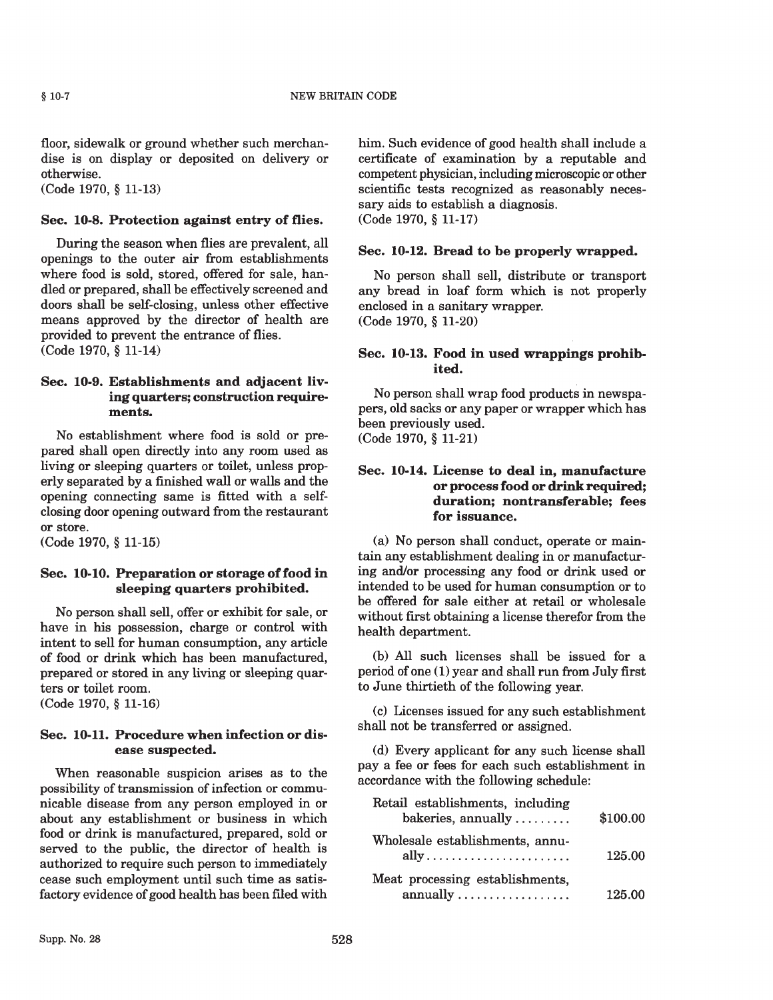floor, sidewalk or ground whether such merchandise is on display or deposited on delivery or otherwise.

(Code 1970, § 11-13)

#### Sec. 10-8. Protection against entry of flies.

During the season when flies are prevalent, all openings to the outer air from establishments where food is sold, stored, offered for sale, handled or prepared, shall be effectively screened and doors shall be self-closing, unless other effective means approved by the director of health are provided to prevent the entrance of flies. (Code 1970, § 11-14)

# Sec. 10-9. Establishments and adjacent living quarters; construction requirements.

No establishment where food is sold or prepared shall open directly into any room used as living or sleeping quarters or toilet, unless properly separated by a finished wall or walls and the opening connecting same is fitted with a selfclosing door opening outward from the restaurant or store.

(Code 1970, § 11-15)

# Sec. 10-10. Preparation or storage of food in sleeping quarters prohibited.

No person shall sell, offer or exhibit for sale, or have in his possession, charge or control with intent to sell for human consumption, any article of food or drink which has been manufactured, prepared or stored in any living or sleeping quarters or toilet room.

(Code 1970, § 11-16)

### Sec. 10-11. Procedure when infection or disease suspected.

When reasonable suspicion arises as to the possibility of transmission of infection or communicable disease from any person employed in or about any establishment or business in which food or drink is manufactured, prepared, sold or served to the public, the director of health is authorized to require such person to immediately cease such employment until such time as satisfactory evidence of good health has been filed with

him. Such evidence of good health shall include a certificate of examination by a reputable and competent physician, including microscopic or other scientific tests recognized as reasonably necessary aids to establish a diagnosis. (Code 1970, § 11-17)

### Sec. 10-12. Bread to be properly wrapped.

No person shall sell, distribute or transport any bread in loaf form which is not properly enclosed in a sanitary wrapper. (Code 1970, § 11-20)

## Sec. 10-13. Food in used wrappings prohibited.

No person shall wrap food products in newspapers, old sacks or any paper or wrapper which has been previously used.

(Code 1970, § 11-21)

### Sec. 10-14. License to deal in, manufacture or process food or drink required; duration; nontransferable; fees for issuance.

(a) No person shall conduct, operate or maintain any establishment dealing in or manufacturing and/or processing any food or drink used or intended to be used for human consumption or to be offered for sale either at retail or wholesale without first obtaining a license therefor from the health department.

(b) All such licenses shall be issued for a period of one (1) year and shall run from July first to June thirtieth of the following year.

(c) Licenses issued for any such establishment shall not be transferred or assigned.

(d) Every applicant for any such license shall pay a fee or fees for each such establishment in accordance with the following schedule:

| Retail establishments, including<br>bakeries, annually                                           | \$100.00 |
|--------------------------------------------------------------------------------------------------|----------|
| Wholesale establishments, annu-<br>$\text{ally} \dots \dots \dots \dots \dots \dots \dots \dots$ | 125.00   |
| Meat processing establishments,<br>annually                                                      | 125.00   |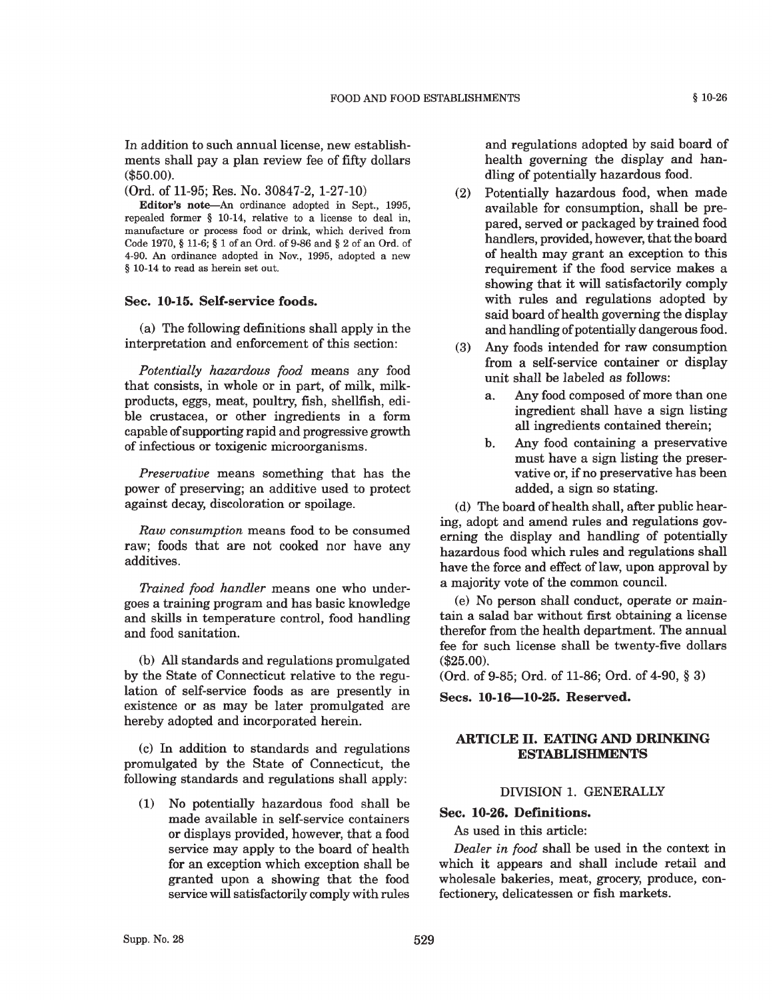In addition to such annual license, new establishments shall pay a plan review fee of fifty dollars  $(\$50.00)$ .

(Ord. of 11-95; Res. No. 30847-2, 1-27-10)

Editor's note—An ordinance adopted in Sept., 1995. repealed former § 10-14, relative to a license to deal in, manufacture or process food or drink, which derived from Code 1970, § 11-6; § 1 of an Ord. of 9-86 and § 2 of an Ord. of 4-90. An ordinance adopted in Nov., 1995, adopted a new § 10-14 to read as herein set out.

### Sec. 10-15. Self-service foods.

(a) The following definitions shall apply in the interpretation and enforcement of this section:

Potentially hazardous food means any food that consists, in whole or in part, of milk, milkproducts, eggs, meat, poultry, fish, shellfish, edible crustacea, or other ingredients in a form capable of supporting rapid and progressive growth of infectious or toxigenic microorganisms.

*Preservative* means something that has the power of preserving; an additive used to protect against decay, discoloration or spoilage.

Raw consumption means food to be consumed raw; foods that are not cooked nor have any additives.

Trained food handler means one who undergoes a training program and has basic knowledge and skills in temperature control, food handling and food sanitation.

(b) All standards and regulations promulgated by the State of Connecticut relative to the regulation of self-service foods as are presently in existence or as may be later promulgated are hereby adopted and incorporated herein.

(c) In addition to standards and regulations promulgated by the State of Connecticut, the following standards and regulations shall apply:

(1) No potentially hazardous food shall be made available in self-service containers or displays provided, however, that a food service may apply to the board of health for an exception which exception shall be granted upon a showing that the food service will satisfactorily comply with rules

and regulations adopted by said board of health governing the display and handling of potentially hazardous food.

- Potentially hazardous food, when made  $(2)$ available for consumption, shall be prepared, served or packaged by trained food handlers, provided, however, that the board of health may grant an exception to this requirement if the food service makes a showing that it will satisfactorily comply with rules and regulations adopted by said board of health governing the display and handling of potentially dangerous food.
- Any foods intended for raw consumption  $(3)$ from a self-service container or display unit shall be labeled as follows:
	- Any food composed of more than one  $\mathbf{a}$ ingredient shall have a sign listing all ingredients contained therein;
	- Any food containing a preservative  $\mathbf{b}$ . must have a sign listing the preservative or, if no preservative has been added, a sign so stating.

(d) The board of health shall, after public hearing, adopt and amend rules and regulations governing the display and handling of potentially hazardous food which rules and regulations shall have the force and effect of law, upon approval by a majority vote of the common council.

(e) No person shall conduct, operate or maintain a salad bar without first obtaining a license therefor from the health department. The annual fee for such license shall be twenty-five dollars  $(\$25.00).$ 

(Ord. of 9-85; Ord. of 11-86; Ord. of 4-90,  $\S$  3)

Secs. 10-16-10-25. Reserved.

# ARTICLE II. EATING AND DRINKING **ESTABLISHMENTS**

## DIVISION 1. GENERALLY

# Sec. 10-26. Definitions.

As used in this article:

Dealer in food shall be used in the context in which it appears and shall include retail and wholesale bakeries, meat, grocery, produce, confectionery, delicatessen or fish markets.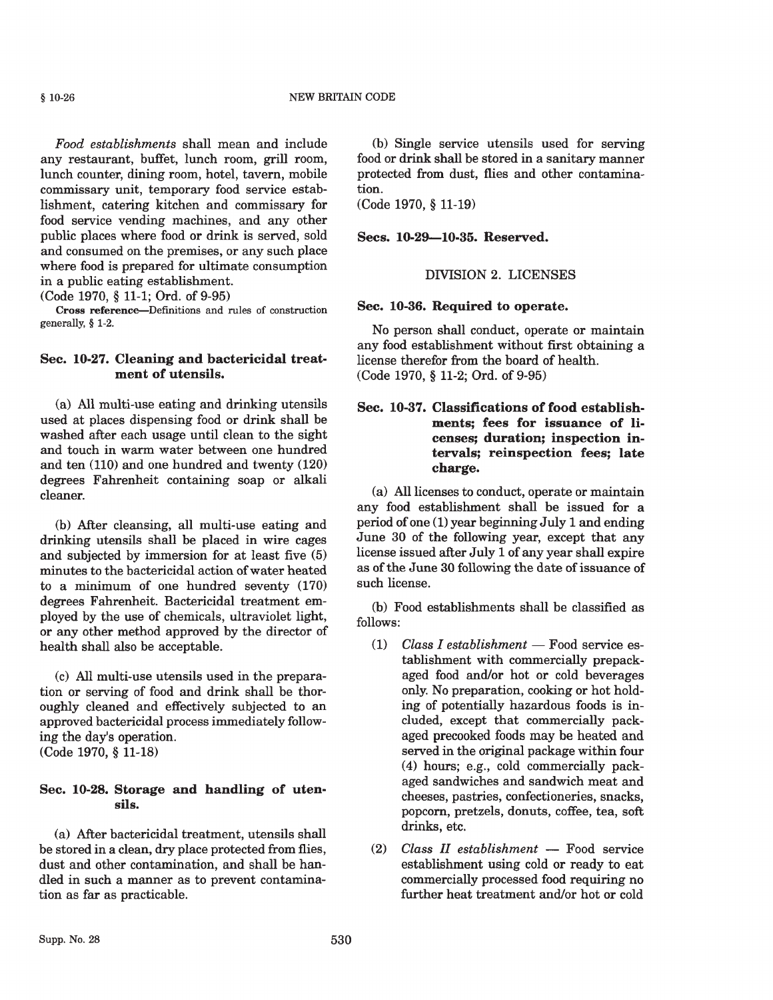Food establishments shall mean and include any restaurant, buffet, lunch room, grill room, lunch counter, dining room, hotel, tavern, mobile commissary unit, temporary food service establishment, catering kitchen and commissary for food service vending machines, and any other public places where food or drink is served, sold and consumed on the premises, or any such place where food is prepared for ultimate consumption in a public eating establishment.

(Code 1970, § 11-1; Ord. of 9-95)

Cross reference-Definitions and rules of construction generally,  $§$  1-2.

### Sec. 10-27. Cleaning and bactericidal treatment of utensils.

(a) All multi-use eating and drinking utensils used at places dispensing food or drink shall be washed after each usage until clean to the sight and touch in warm water between one hundred and ten (110) and one hundred and twenty (120) degrees Fahrenheit containing soap or alkali cleaner.

(b) After cleansing, all multi-use eating and drinking utensils shall be placed in wire cages and subjected by immersion for at least five (5) minutes to the bactericidal action of water heated to a minimum of one hundred seventy (170) degrees Fahrenheit. Bactericidal treatment employed by the use of chemicals, ultraviolet light, or any other method approved by the director of health shall also be acceptable.

(c) All multi-use utensils used in the preparation or serving of food and drink shall be thoroughly cleaned and effectively subjected to an approved bactericidal process immediately following the day's operation. (Code 1970, § 11-18)

#### Sec. 10-28. Storage and handling of utensils.

(a) After bactericidal treatment, utensils shall be stored in a clean, dry place protected from flies, dust and other contamination, and shall be handled in such a manner as to prevent contamination as far as practicable.

(b) Single service utensils used for serving food or drink shall be stored in a sanitary manner protected from dust, flies and other contamination.

(Code 1970, § 11-19)

Secs. 10-29-10-35. Reserved.

### **DIVISION 2. LICENSES**

#### Sec. 10-36. Required to operate.

No person shall conduct, operate or maintain any food establishment without first obtaining a license therefor from the board of health. (Code 1970, § 11-2; Ord. of 9-95)

# Sec. 10-37. Classifications of food establishments: fees for issuance of licenses: duration; inspection intervals; reinspection fees; late charge.

(a) All licenses to conduct, operate or maintain any food establishment shall be issued for a period of one (1) year beginning July 1 and ending June 30 of the following year, except that any license issued after July 1 of any year shall expire as of the June 30 following the date of issuance of such license.

(b) Food establishments shall be classified as follows:

- $(1)$ Class I establishment  $-$  Food service establishment with commercially prepackaged food and/or hot or cold beverages only. No preparation, cooking or hot holding of potentially hazardous foods is included, except that commercially packaged precooked foods may be heated and served in the original package within four (4) hours; e.g., cold commercially packaged sandwiches and sandwich meat and cheeses, pastries, confectioneries, snacks, popcorn, pretzels, donuts, coffee, tea, soft drinks, etc.
- $(2)$ Class II establishment - Food service establishment using cold or ready to eat commercially processed food requiring no further heat treatment and/or hot or cold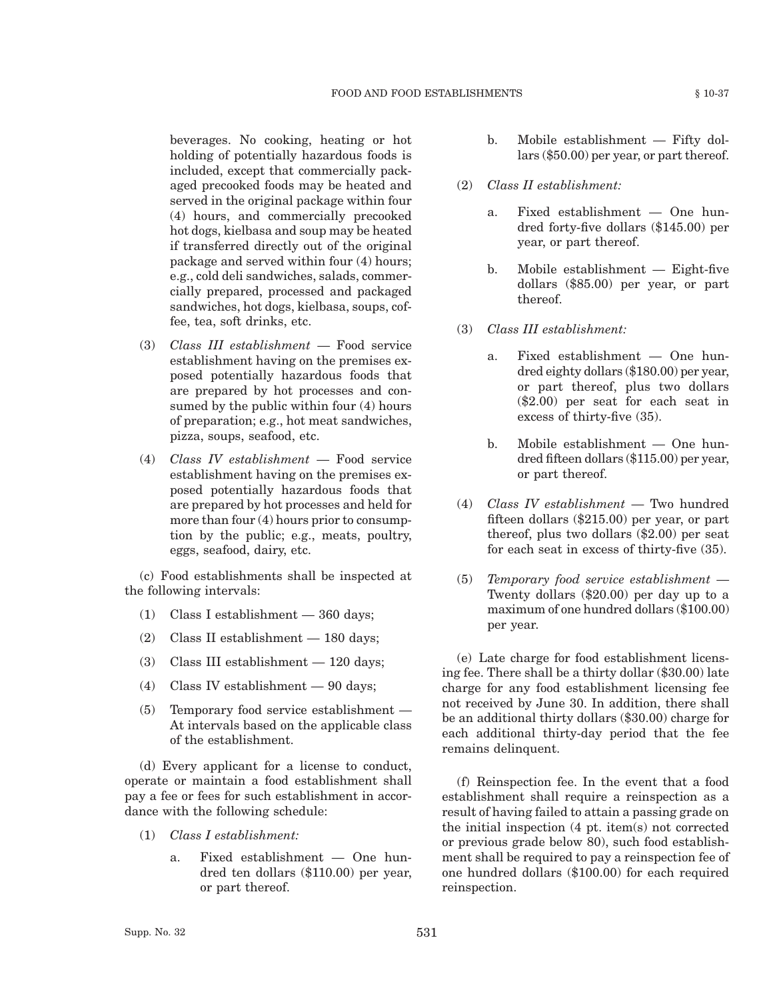beverages. No cooking, heating or hot holding of potentially hazardous foods is included, except that commercially packaged precooked foods may be heated and served in the original package within four (4) hours, and commercially precooked hot dogs, kielbasa and soup may be heated if transferred directly out of the original package and served within four (4) hours; e.g., cold deli sandwiches, salads, commercially prepared, processed and packaged sandwiches, hot dogs, kielbasa, soups, coffee, tea, soft drinks, etc.

- (3) *Class III establishment* Food service establishment having on the premises exposed potentially hazardous foods that are prepared by hot processes and consumed by the public within four (4) hours of preparation; e.g., hot meat sandwiches, pizza, soups, seafood, etc.
- (4) *Class IV establishment* Food service establishment having on the premises exposed potentially hazardous foods that are prepared by hot processes and held for more than four (4) hours prior to consumption by the public; e.g., meats, poultry, eggs, seafood, dairy, etc.

(c) Food establishments shall be inspected at the following intervals:

- (1) Class I establishment 360 days;
- (2) Class II establishment 180 days;
- (3) Class III establishment 120 days;
- (4) Class IV establishment 90 days;
- (5) Temporary food service establishment At intervals based on the applicable class of the establishment.

(d) Every applicant for a license to conduct, operate or maintain a food establishment shall pay a fee or fees for such establishment in accordance with the following schedule:

- (1) *Class I establishment:*
	- a. Fixed establishment One hundred ten dollars (\$110.00) per year, or part thereof.
- b. Mobile establishment Fifty dollars (\$50.00) per year, or part thereof.
- (2) *Class II establishment:*
	- a. Fixed establishment One hundred forty-five dollars (\$145.00) per year, or part thereof.
	- b. Mobile establishment Eight-five dollars (\$85.00) per year, or part thereof.
- (3) *Class III establishment:*
	- a. Fixed establishment One hundred eighty dollars (\$180.00) per year, or part thereof, plus two dollars (\$2.00) per seat for each seat in excess of thirty-five (35).
	- b. Mobile establishment One hundred fifteen dollars (\$115.00) per year, or part thereof.
- (4) *Class IV establishment* Two hundred fifteen dollars (\$215.00) per year, or part thereof, plus two dollars (\$2.00) per seat for each seat in excess of thirty-five (35).
- (5) *Temporary food service establishment* Twenty dollars (\$20.00) per day up to a maximum of one hundred dollars (\$100.00) per year.

(e) Late charge for food establishment licensing fee. There shall be a thirty dollar (\$30.00) late charge for any food establishment licensing fee not received by June 30. In addition, there shall be an additional thirty dollars (\$30.00) charge for each additional thirty-day period that the fee remains delinquent.

(f) Reinspection fee. In the event that a food establishment shall require a reinspection as a result of having failed to attain a passing grade on the initial inspection (4 pt. item(s) not corrected or previous grade below 80), such food establishment shall be required to pay a reinspection fee of one hundred dollars (\$100.00) for each required reinspection.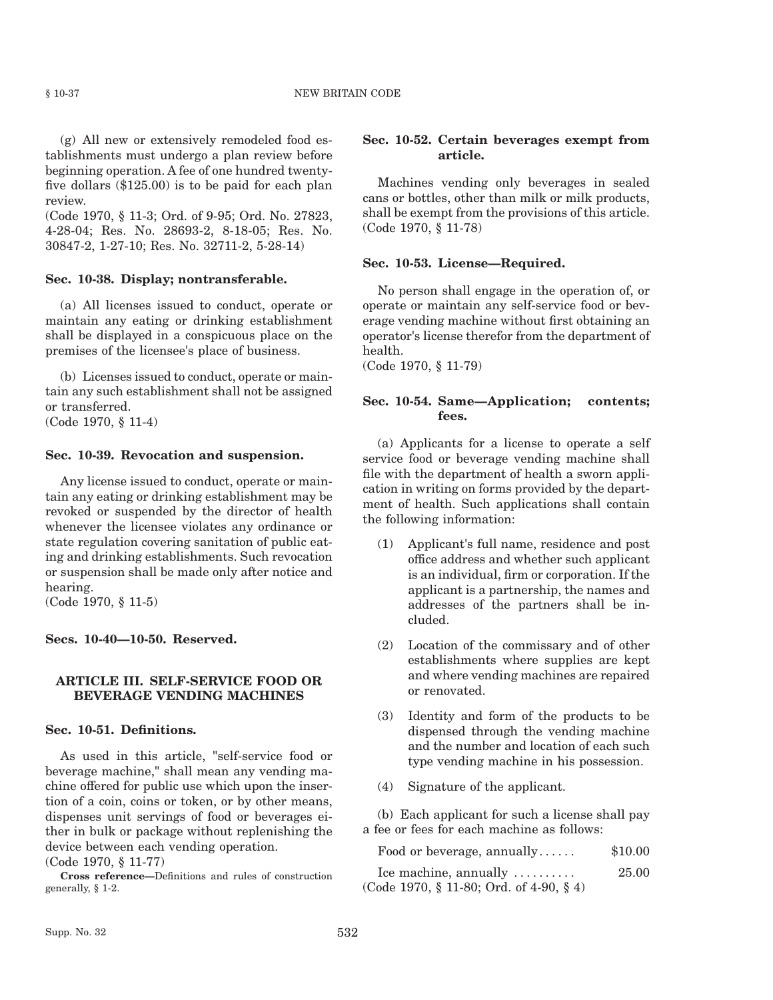(g) All new or extensively remodeled food establishments must undergo a plan review before beginning operation. A fee of one hundred twentyfive dollars (\$125.00) is to be paid for each plan review.

(Code 1970, § 11-3; Ord. of 9-95; Ord. No. 27823, 4-28-04; Res. No. 28693-2, 8-18-05; Res. No. 30847-2, 1-27-10; Res. No. 32711-2, 5-28-14)

#### **Sec. 10-38. Display; nontransferable.**

(a) All licenses issued to conduct, operate or maintain any eating or drinking establishment shall be displayed in a conspicuous place on the premises of the licensee's place of business.

(b) Licenses issued to conduct, operate or maintain any such establishment shall not be assigned or transferred.

(Code 1970, § 11-4)

#### **Sec. 10-39. Revocation and suspension.**

Any license issued to conduct, operate or maintain any eating or drinking establishment may be revoked or suspended by the director of health whenever the licensee violates any ordinance or state regulation covering sanitation of public eating and drinking establishments. Such revocation or suspension shall be made only after notice and hearing.

(Code 1970, § 11-5)

#### **Secs. 10-40—10-50. Reserved.**

### **ARTICLE III. SELF-SERVICE FOOD OR BEVERAGE VENDING MACHINES**

#### **Sec. 10-51. Definitions.**

As used in this article, "self-service food or beverage machine," shall mean any vending machine offered for public use which upon the insertion of a coin, coins or token, or by other means, dispenses unit servings of food or beverages either in bulk or package without replenishing the device between each vending operation.

(Code 1970, § 11-77)

**Cross reference—**Definitions and rules of construction generally, § 1-2.

### **Sec. 10-52. Certain beverages exempt from article.**

Machines vending only beverages in sealed cans or bottles, other than milk or milk products, shall be exempt from the provisions of this article. (Code 1970, § 11-78)

#### **Sec. 10-53. License—Required.**

No person shall engage in the operation of, or operate or maintain any self-service food or beverage vending machine without first obtaining an operator's license therefor from the department of health.

(Code 1970, § 11-79)

### **Sec. 10-54. Same—Application; contents; fees.**

(a) Applicants for a license to operate a self service food or beverage vending machine shall file with the department of health a sworn application in writing on forms provided by the department of health. Such applications shall contain the following information:

- (1) Applicant's full name, residence and post office address and whether such applicant is an individual, firm or corporation. If the applicant is a partnership, the names and addresses of the partners shall be included.
- (2) Location of the commissary and of other establishments where supplies are kept and where vending machines are repaired or renovated.
- (3) Identity and form of the products to be dispensed through the vending machine and the number and location of each such type vending machine in his possession.
- (4) Signature of the applicant.

(b) Each applicant for such a license shall pay a fee or fees for each machine as follows:

| Food or beverage, annually | \$10.00 |
|----------------------------|---------|
|----------------------------|---------|

| Ice machine, annually $\dots\dots\dots$       | 25.00 |
|-----------------------------------------------|-------|
| (Code 1970, $\S$ 11-80; Ord. of 4-90, $\S$ 4) |       |